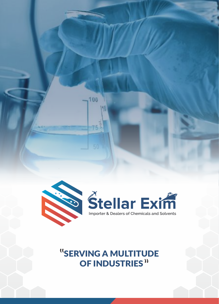

100

"<br>SERVING A MULTITUDE OF INDUSTRIES<sup>"</sup>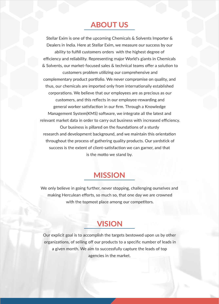## **ABOUT US**

Stellar Exim is one of the upcoming Chemicals & Solvents Importer & Dealers in India. Here at Stellar Exim, we measure our success by our ability to fulfill customers orders with the highest degree of efficiency and reliability. Representing major World's giants in Chemicals & Solvents, our market-focused sales & technical teams offer a solution to customers problem utilizing our comprehensive and complementary product portfolio. We never compromise on quality, and thus, our chemicals are imported only from internationally established corporations. We believe that our employees are as precious as our customers, and this reflects in our employee-rewarding and general worker satisfaction in our firm. Through a Knowledge Management System(KMS) software, we integrate all the latest and relevant market data in order to carry out business with increased efficiency. Our business is pillared on the foundations of a sturdy research and development background, and we maintain this orientation throughout the process of gathering quality products. Our yardstick of success is the extent of client-satisfaction we can garner, and that is the motto we stand by.

## **MISSION**

We only believe in going further, never stopping, challenging ourselves and making Herculean efforts, so much so, that one day we are crowned with the topmost place among our competitors.

## **VISION**

Our explicit goal is to accomplish the targets bestowed upon us by other organizations, of selling off our products to a specific number of leads in a given month. We aim to successfully capture the leads of top agencies in the market.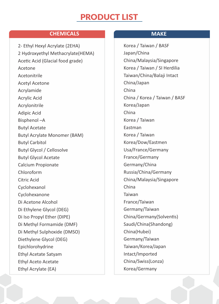# PRODUCT LIST

### **CHEMICALS MAKE**

2- Ethyl Hexyl Acrylate (2EHA) 2 Hydroxyethyl Methacrylate(HEMA) Acetic Acid (Glacial food grade) Acetone Acetonitrile Acetyl Acetone Acrylamide Acrylic Acid Acrylonitrile Adipic Acid Bisphenol –A Butyl Acetate Butyl Acrylate Monomer (BAM) Butyl Carbitol Butyl Glycol / Cellosolve Butyl Glycol Acetate Calcium Propionate Chloroform Citric Acid Cyclohexanol Cyclohexanone Di Acetone Alcohol Di Ethylene Glycol (DEG) Di Iso Propyl Ether (DIPE) Di Methyl Formamide (DMF) Di Methyl Sulphoxide (DMSO) Diethylene Glycol (DEG) Epichlorohydrine Ethyl Acetate Satyam Ethyl Aceto Acetate Ethyl Acrylate (EA)

Korea / Taiwan / BASF Japan/China China/Malaysia/Singapore Korea / Taiwan / SI Herdilia Taiwan/China/Balaji Intact China/Japan China China / Korea / Taiwan / BASF Korea/Japan China Korea / Taiwan Eastman Korea / Taiwan Korea/Dow/Eastmen Usa/France/Germany France/Germany Germany/China Russia/China/Germany China/Malaysia/Singapore China Taiwan France/Taiwan Germany/Taiwan China/Germany(Solventis) Saudi/China(Shandong) China(Hubei) Germany/Taiwan Taiwan/Korea/Japan Intact/Imported China/Swiss(Lonza) Korea/Germany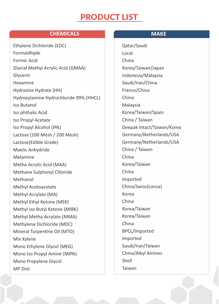# PRODUCT LIST

### **CHEMICALS MAKE**

Ethylene Dichloride (EDC) Formaldhyde Formic Acid Glacial Methyl Acrylic Acid (GMAA) Glycerin Hexamine Hydrazine Hydrate (HH) Hydroxylamine Hydrochloride 99% (HHCL) Iso Butanol Iso phthalic Acid Iso Propyl Acetate Iso Propyl Alcohol (IPA) Lactose (100 Mesh / 200 Mesh) Lactose(Edible Grade) Maelic Anhydride Melamine Metha Acrylic Acid (MAA) Methane Sulphonyl Chloride Methanol Methyl Acetoacetate Methyl Acrylate (MA) Methyl Ethyl Ketone (MEK) Methyl Iso Butyl Ketone (MIBK) Methyl Metha Acrylate (MMA) Methylene Dichloride (MDC) Mineral Turpentine Oil (MTO) Mix Xylene Mono Ethylene Glycol (MEG) Mono Iso Propyl Amine (MIPA) Mono Propylene Glycol MP Diol

Qatar/Saudi Local China Korea/Taiwan/Japan Indonesia/Malaysia Saudi/Iran/China France/China China Malaysia Korea/Taiwan/Spain China / Taiwan Deepak Intact/Taiwan/Korea Germany/Netherlands/USA Germany/Netherlands/USA China / Taiwan China Korea/Taiwan China Imported China/Swiss(Lonza) Korea China Korea/Taiwan Korea/Taiwan China BPCL/Imported Imported Saudi/Iran/Taiwan China/Alkyl Amines Shell Taiwan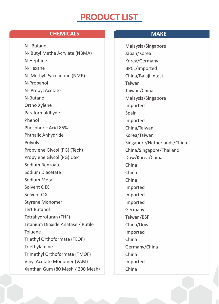# PRODUCT LIST

### **CHEMICALS MAKE**

N– Butanol N- Butyl Metha Acrylate (NBMA) N-Heptane N-Hexane N- Methyl Pyrrolidone (NMP) N-Propanol N- Propyl Acetate N-Butanol Ortho Xylene Paraformaldhyde Phenol Phosphoric Acid 85% Phthalic Anhydride Polyols Propylene Glycol (PG) (Tech) Propylene Glycol (PG) USP Sodium Benzoate Sodium Diacetate Sodium Metal Solvent C IX Solvent C X Styrene Monomer Tert Butanol Tetrahydrofuran (THF) Titanium Dioxide Anatase / Rutile Toluene Triethyl Orthoformate (TEOF) Triethylamine Trimethyl Orthoformate (TMOF) Vinyl Acetate Monomer (VAM) Xanthan Gum (80 Mesh / 200 Mesh)

Malaysia/Singapore Japan/Korea Korea/Germany BPCL/Imported China/Balaji Intact Taiwan Taiwan/China Malaysia/Singapore Imported Spain Imported China/Taiwan Korea/Taiwan Singapore/Netherlands/China China/Singapore/Thailand Dow/Korea/China China China China Imported Imported Imported Germany Taiwan/BSF China/Dow Imported China Germany/China China Imported China